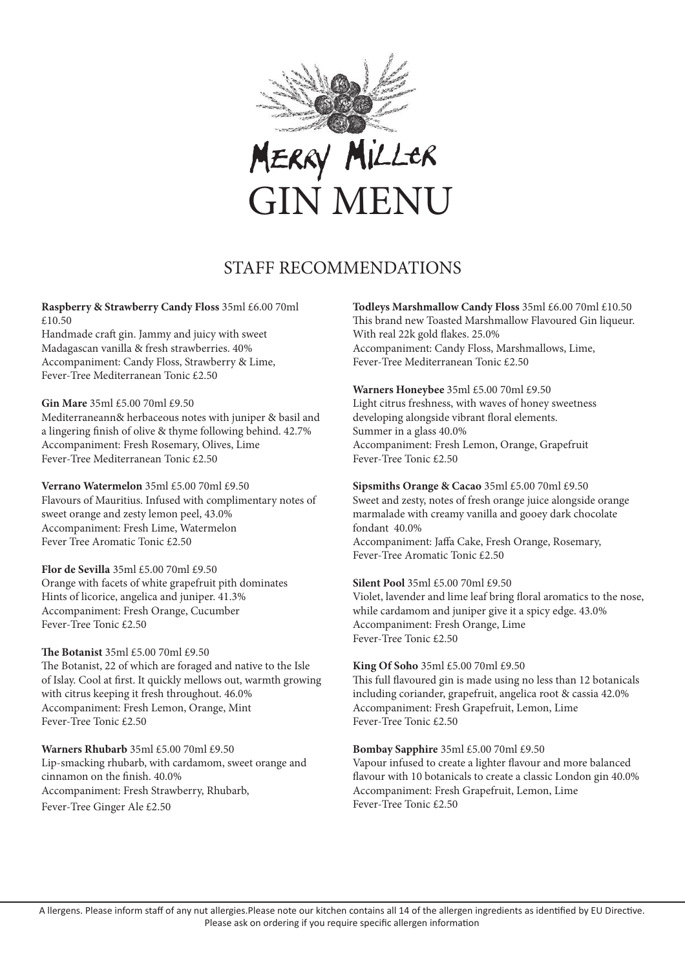



# STAFF RECOMMENDATIONS

**Raspberry & Strawberry Candy Floss** 35ml £6.00 70ml £10.50

Handmade craft gin. Jammy and juicy with sweet Madagascan vanilla & fresh strawberries. 40% Accompaniment: Candy Floss, Strawberry & Lime, Fever-Tree Mediterranean Tonic £2.50

**Gin Mare** 35ml £5.00 70ml £9.50 Mediterraneann& herbaceous notes with juniper & basil and a lingering finish of olive & thyme following behind. 42.7% Accompaniment: Fresh Rosemary, Olives, Lime Fever-Tree Mediterranean Tonic £2.50

**Verrano Watermelon** 35ml £5.00 70ml £9.50 Flavours of Mauritius. Infused with complimentary notes of sweet orange and zesty lemon peel, 43.0% Accompaniment: Fresh Lime, Watermelon Fever Tree Aromatic Tonic £2.50

**Flor de Sevilla** 35ml £5.00 70ml £9.50 Orange with facets of white grapefruit pith dominates Hints of licorice, angelica and juniper. 41.3% Accompaniment: Fresh Orange, Cucumber Fever-Tree Tonic £2.50

**The Botanist** 35ml £5.00 70ml £9.50 The Botanist, 22 of which are foraged and native to the Isle of Islay. Cool at first. It quickly mellows out, warmth growing with citrus keeping it fresh throughout. 46.0% Accompaniment: Fresh Lemon, Orange, Mint Fever-Tree Tonic £2.50

**Warners Rhubarb** 35ml £5.00 70ml £9.50 Lip-smacking rhubarb, with cardamom, sweet orange and cinnamon on the finish. 40.0% Accompaniment: Fresh Strawberry, Rhubarb, Fever-Tree Ginger Ale £2.50

**Todleys Marshmallow Candy Floss** 35ml £6.00 70ml £10.50 This brand new Toasted Marshmallow Flavoured Gin liqueur. With real 22k gold flakes. 25.0% Accompaniment: Candy Floss, Marshmallows, Lime, Fever-Tree Mediterranean Tonic £2.50

**Warners Honeybee** 35ml £5.00 70ml £9.50 Light citrus freshness, with waves of honey sweetness developing alongside vibrant floral elements. Summer in a glass 40.0% Accompaniment: Fresh Lemon, Orange, Grapefruit Fever-Tree Tonic £2.50

**Sipsmiths Orange & Cacao** 35ml £5.00 70ml £9.50 Sweet and zesty, notes of fresh orange juice alongside orange marmalade with creamy vanilla and gooey dark chocolate fondant 40.0% Accompaniment: Jaffa Cake, Fresh Orange, Rosemary, Fever-Tree Aromatic Tonic £2.50

**Silent Pool** 35ml £5.00 70ml £9.50 Violet, lavender and lime leaf bring floral aromatics to the nose, while cardamom and juniper give it a spicy edge. 43.0% Accompaniment: Fresh Orange, Lime Fever-Tree Tonic £2.50

**King Of Soho** 35ml £5.00 70ml £9.50

This full flavoured gin is made using no less than 12 botanicals including coriander, grapefruit, angelica root & cassia 42.0% Accompaniment: Fresh Grapefruit, Lemon, Lime Fever-Tree Tonic £2.50

**Bombay Sapphire** 35ml £5.00 70ml £9.50

Vapour infused to create a lighter flavour and more balanced flavour with 10 botanicals to create a classic London gin 40.0% Accompaniment: Fresh Grapefruit, Lemon, Lime Fever-Tree Tonic £2.50